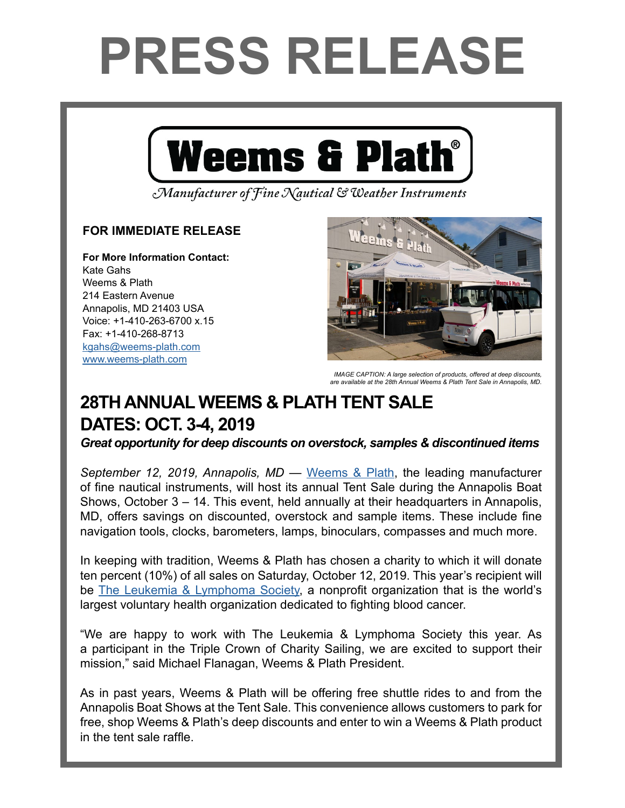## **PRESS RELEASE**



Manufacturer of Fine Nautical & Weather Instruments

## **FOR IMMEDIATE RELEASE**

**For More Information Contact:**  Kate Gahs Weems & Plath 214 Eastern Avenue Annapolis, MD 21403 USA Voice: +1-410-263-6700 x.15 Fax: +1-410-268-8713 kgahs[@weems-plath.com](mailto:kgahs%40weems-plath.com?subject=Regarding%20Press%20Release) [www.weems-plath.com](http://www.weems-plath.com)



**IMAGE CAPTION: A large selection of products, offered at deep discounts,** *are available at the 28th Annual Weems & Plath Tent Sale in Annapolis, MD.*

## **28TH ANNUAL WEEMS & PLATH TENT SALE DATES: OCT. 3-4, 2019**

*Great opportunity for deep discounts on overstock, samples & discontinued items*

*September 12, 2019, Annapolis, MD* — [Weems & Plath](http:/www.weems-plath.com), the leading manufacturer of fine nautical instruments, will host its annual Tent Sale during the Annapolis Boat Shows, October 3 – 14. This event, held annually at their headquarters in Annapolis, MD, offers savings on discounted, overstock and sample items. These include fine navigation tools, clocks, barometers, lamps, binoculars, compasses and much more.

In keeping with tradition, Weems & Plath has chosen a charity to which it will donate ten percent (10%) of all sales on Saturday, October 12, 2019. This year's recipient will be [The Leukemia & Lymphoma Society](https://www.lls.org/), a nonprofit organization that is the world's largest voluntary health organization dedicated to fighting blood cancer.

"We are happy to work with The Leukemia & Lymphoma Society this year. As a participant in the Triple Crown of Charity Sailing, we are excited to support their mission," said Michael Flanagan, Weems & Plath President.

As in past years, Weems & Plath will be offering free shuttle rides to and from the Annapolis Boat Shows at the Tent Sale. This convenience allows customers to park for free, shop Weems & Plath's deep discounts and enter to win a Weems & Plath product in the tent sale raffle.